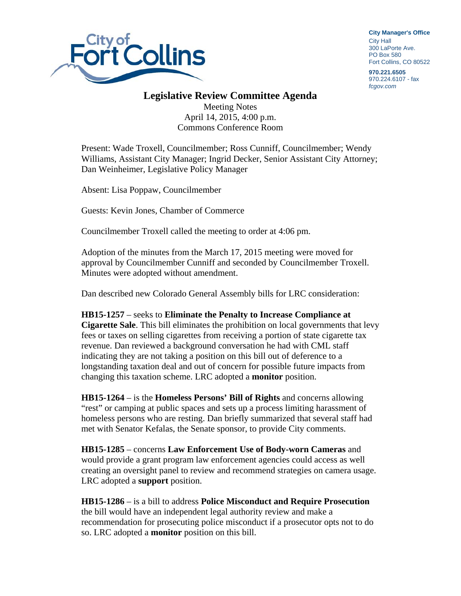

**City Manager**'**s Office** City Hall 300 LaPorte Ave. PO Box 580 Fort Collins, CO 80522

**970.221.6505**  970.224.6107 - fax *fcgov.com* 

## **Legislative Review Committee Agenda**

Meeting Notes April 14, 2015, 4:00 p.m. Commons Conference Room

Present: Wade Troxell, Councilmember; Ross Cunniff, Councilmember; Wendy Williams, Assistant City Manager; Ingrid Decker, Senior Assistant City Attorney; Dan Weinheimer, Legislative Policy Manager

Absent: Lisa Poppaw, Councilmember

Guests: Kevin Jones, Chamber of Commerce

Councilmember Troxell called the meeting to order at 4:06 pm.

Adoption of the minutes from the March 17, 2015 meeting were moved for approval by Councilmember Cunniff and seconded by Councilmember Troxell. Minutes were adopted without amendment.

Dan described new Colorado General Assembly bills for LRC consideration:

**HB15-1257** – seeks to **Eliminate the Penalty to Increase Compliance at Cigarette Sale**. This bill eliminates the prohibition on local governments that levy fees or taxes on selling cigarettes from receiving a portion of state cigarette tax revenue. Dan reviewed a background conversation he had with CML staff indicating they are not taking a position on this bill out of deference to a longstanding taxation deal and out of concern for possible future impacts from changing this taxation scheme. LRC adopted a **monitor** position.

**HB15-1264** – is the **Homeless Persons' Bill of Rights** and concerns allowing "rest" or camping at public spaces and sets up a process limiting harassment of homeless persons who are resting. Dan briefly summarized that several staff had met with Senator Kefalas, the Senate sponsor, to provide City comments.

**HB15-1285** – concerns **Law Enforcement Use of Body-worn Cameras** and would provide a grant program law enforcement agencies could access as well creating an oversight panel to review and recommend strategies on camera usage. LRC adopted a **support** position.

**HB15-1286** – is a bill to address **Police Misconduct and Require Prosecution** the bill would have an independent legal authority review and make a recommendation for prosecuting police misconduct if a prosecutor opts not to do so. LRC adopted a **monitor** position on this bill.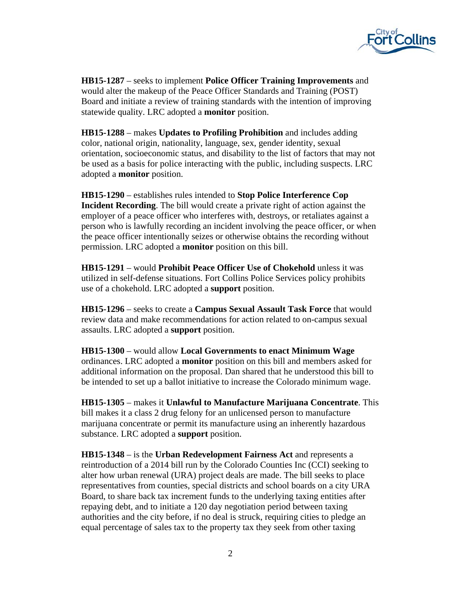

**HB15-1287** – seeks to implement **Police Officer Training Improvements** and would alter the makeup of the Peace Officer Standards and Training (POST) Board and initiate a review of training standards with the intention of improving statewide quality. LRC adopted a **monitor** position.

**HB15-1288** – makes **Updates to Profiling Prohibition** and includes adding color, national origin, nationality, language, sex, gender identity, sexual orientation, socioeconomic status, and disability to the list of factors that may not be used as a basis for police interacting with the public, including suspects. LRC adopted a **monitor** position.

**HB15-1290** – establishes rules intended to **Stop Police Interference Cop Incident Recording**. The bill would create a private right of action against the employer of a peace officer who interferes with, destroys, or retaliates against a person who is lawfully recording an incident involving the peace officer, or when the peace officer intentionally seizes or otherwise obtains the recording without permission. LRC adopted a **monitor** position on this bill.

**HB15-1291** – would **Prohibit Peace Officer Use of Chokehold** unless it was utilized in self-defense situations. Fort Collins Police Services policy prohibits use of a chokehold. LRC adopted a **support** position.

**HB15-1296** – seeks to create a **Campus Sexual Assault Task Force** that would review data and make recommendations for action related to on-campus sexual assaults. LRC adopted a **support** position.

**HB15-1300** – would allow **Local Governments to enact Minimum Wage** ordinances. LRC adopted a **monitor** position on this bill and members asked for additional information on the proposal. Dan shared that he understood this bill to be intended to set up a ballot initiative to increase the Colorado minimum wage.

**HB15-1305** – makes it **Unlawful to Manufacture Marijuana Concentrate**. This bill makes it a class 2 drug felony for an unlicensed person to manufacture marijuana concentrate or permit its manufacture using an inherently hazardous substance. LRC adopted a **support** position.

**HB15-1348** – is the **Urban Redevelopment Fairness Act** and represents a reintroduction of a 2014 bill run by the Colorado Counties Inc (CCI) seeking to alter how urban renewal (URA) project deals are made. The bill seeks to place representatives from counties, special districts and school boards on a city URA Board, to share back tax increment funds to the underlying taxing entities after repaying debt, and to initiate a 120 day negotiation period between taxing authorities and the city before, if no deal is struck, requiring cities to pledge an equal percentage of sales tax to the property tax they seek from other taxing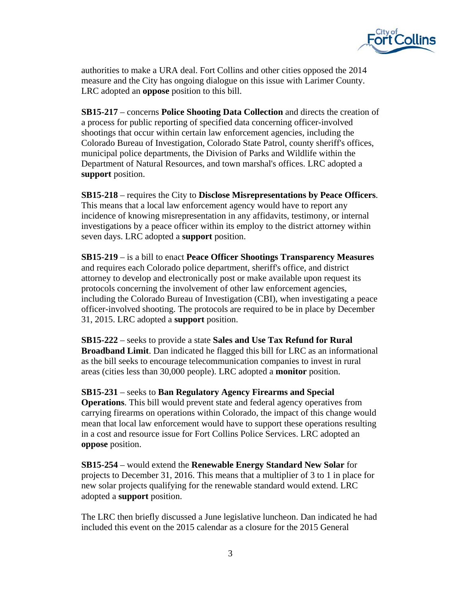

authorities to make a URA deal. Fort Collins and other cities opposed the 2014 measure and the City has ongoing dialogue on this issue with Larimer County. LRC adopted an **oppose** position to this bill.

**SB15-217** – concerns **Police Shooting Data Collection** and directs the creation of a process for public reporting of specified data concerning officer-involved shootings that occur within certain law enforcement agencies, including the Colorado Bureau of Investigation, Colorado State Patrol, county sheriff's offices, municipal police departments, the Division of Parks and Wildlife within the Department of Natural Resources, and town marshal's offices. LRC adopted a **support** position.

**SB15-218** – requires the City to **Disclose Misrepresentations by Peace Officers**. This means that a local law enforcement agency would have to report any incidence of knowing misrepresentation in any affidavits, testimony, or internal investigations by a peace officer within its employ to the district attorney within seven days. LRC adopted a **support** position.

**SB15-219** – is a bill to enact **Peace Officer Shootings Transparency Measures** and requires each Colorado police department, sheriff's office, and district attorney to develop and electronically post or make available upon request its protocols concerning the involvement of other law enforcement agencies, including the Colorado Bureau of Investigation (CBI), when investigating a peace officer-involved shooting. The protocols are required to be in place by December 31, 2015. LRC adopted a **support** position.

**SB15-222** – seeks to provide a state **Sales and Use Tax Refund for Rural Broadband Limit**. Dan indicated he flagged this bill for LRC as an informational as the bill seeks to encourage telecommunication companies to invest in rural areas (cities less than 30,000 people). LRC adopted a **monitor** position.

**SB15-231** – seeks to **Ban Regulatory Agency Firearms and Special Operations**. This bill would prevent state and federal agency operatives from carrying firearms on operations within Colorado, the impact of this change would mean that local law enforcement would have to support these operations resulting in a cost and resource issue for Fort Collins Police Services. LRC adopted an **oppose** position.

**SB15-254** – would extend the **Renewable Energy Standard New Solar** for projects to December 31, 2016. This means that a multiplier of 3 to 1 in place for new solar projects qualifying for the renewable standard would extend. LRC adopted a **support** position.

The LRC then briefly discussed a June legislative luncheon. Dan indicated he had included this event on the 2015 calendar as a closure for the 2015 General